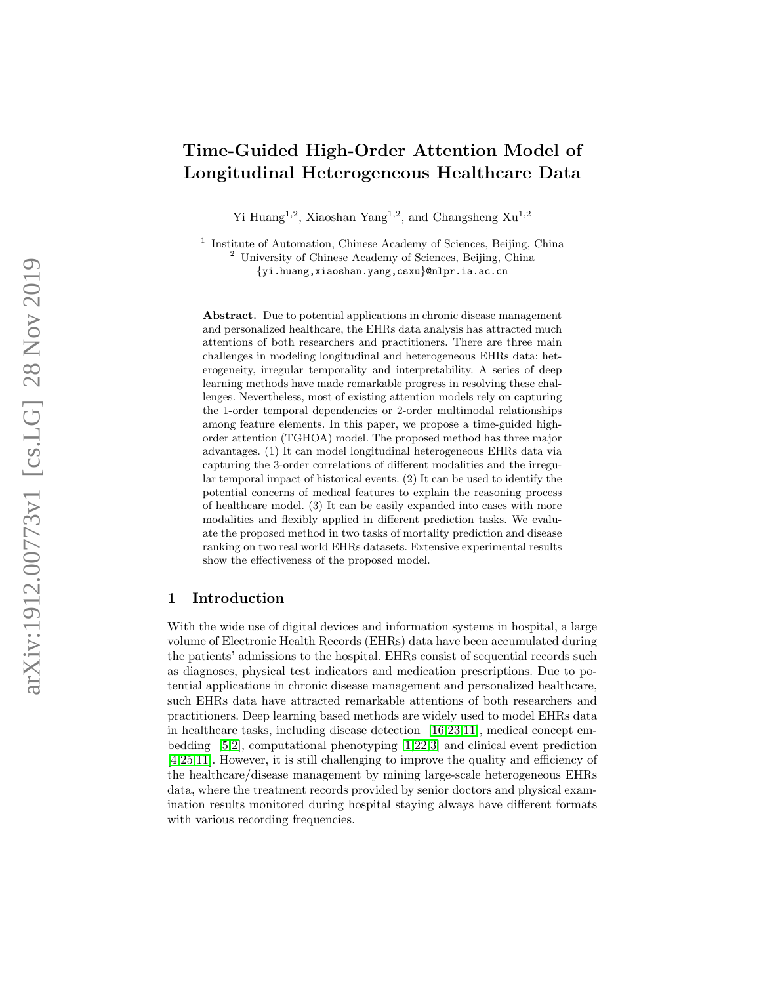# Time-Guided High-Order Attention Model of Longitudinal Heterogeneous Healthcare Data

Yi Huang<sup>1,2</sup>, Xiaoshan Yang<sup>1,2</sup>, and Changsheng  $Xu^{1,2}$ 

<sup>1</sup> Institute of Automation, Chinese Academy of Sciences, Beijing, China <sup>2</sup> University of Chinese Academy of Sciences, Beijing, China {yi.huang,xiaoshan.yang,csxu}@nlpr.ia.ac.cn

Abstract. Due to potential applications in chronic disease management and personalized healthcare, the EHRs data analysis has attracted much attentions of both researchers and practitioners. There are three main challenges in modeling longitudinal and heterogeneous EHRs data: heterogeneity, irregular temporality and interpretability. A series of deep learning methods have made remarkable progress in resolving these challenges. Nevertheless, most of existing attention models rely on capturing the 1-order temporal dependencies or 2-order multimodal relationships among feature elements. In this paper, we propose a time-guided highorder attention (TGHOA) model. The proposed method has three major advantages. (1) It can model longitudinal heterogeneous EHRs data via capturing the 3-order correlations of different modalities and the irregular temporal impact of historical events. (2) It can be used to identify the potential concerns of medical features to explain the reasoning process of healthcare model. (3) It can be easily expanded into cases with more modalities and flexibly applied in different prediction tasks. We evaluate the proposed method in two tasks of mortality prediction and disease ranking on two real world EHRs datasets. Extensive experimental results show the effectiveness of the proposed model.

# 1 Introduction

With the wide use of digital devices and information systems in hospital, a large volume of Electronic Health Records (EHRs) data have been accumulated during the patients' admissions to the hospital. EHRs consist of sequential records such as diagnoses, physical test indicators and medication prescriptions. Due to potential applications in chronic disease management and personalized healthcare, such EHRs data have attracted remarkable attentions of both researchers and practitioners. Deep learning based methods are widely used to model EHRs data in healthcare tasks, including disease detection [\[16,](#page-12-0)[23,](#page-12-1)[11\]](#page-12-2), medical concept embedding [\[5](#page-11-0)[,2\]](#page-11-1), computational phenotyping [\[1,](#page-11-2)[22,](#page-12-3)[3\]](#page-11-3) and clinical event prediction [\[4,](#page-11-4)[25](#page-12-4)[,11\]](#page-12-2). However, it is still challenging to improve the quality and efficiency of the healthcare/disease management by mining large-scale heterogeneous EHRs data, where the treatment records provided by senior doctors and physical examination results monitored during hospital staying always have different formats with various recording frequencies.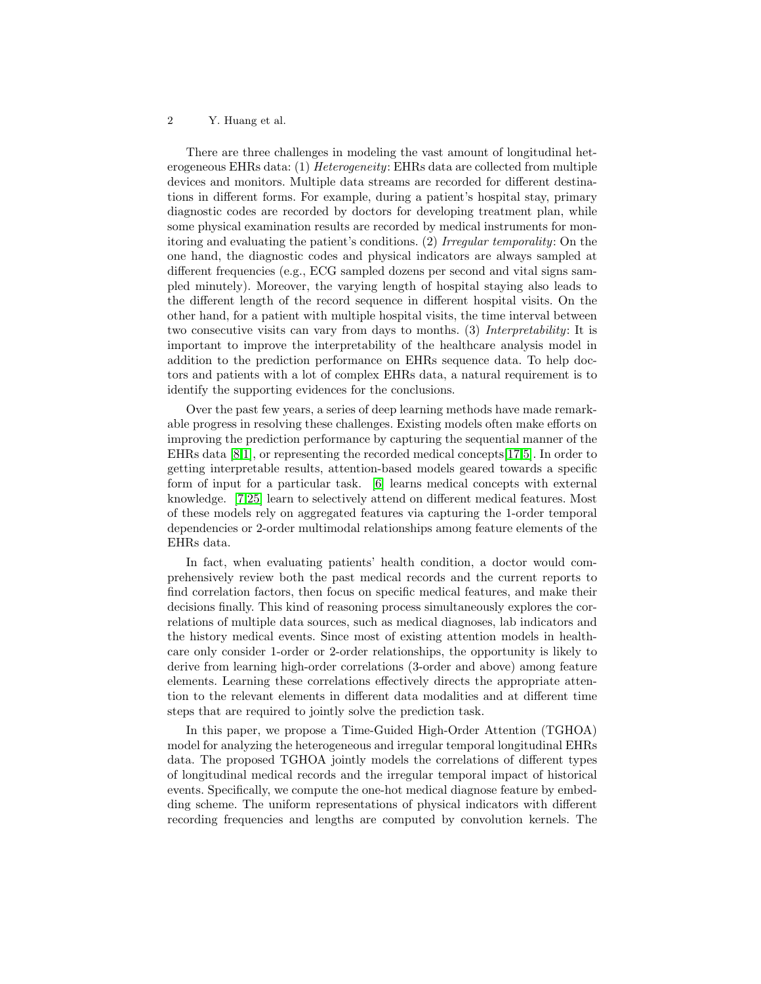There are three challenges in modeling the vast amount of longitudinal heterogeneous EHRs data: (1) Heterogeneity: EHRs data are collected from multiple devices and monitors. Multiple data streams are recorded for different destinations in different forms. For example, during a patient's hospital stay, primary diagnostic codes are recorded by doctors for developing treatment plan, while some physical examination results are recorded by medical instruments for monitoring and evaluating the patient's conditions. (2) Irregular temporality: On the one hand, the diagnostic codes and physical indicators are always sampled at different frequencies (e.g., ECG sampled dozens per second and vital signs sampled minutely). Moreover, the varying length of hospital staying also leads to the different length of the record sequence in different hospital visits. On the other hand, for a patient with multiple hospital visits, the time interval between two consecutive visits can vary from days to months. (3) Interpretability: It is important to improve the interpretability of the healthcare analysis model in addition to the prediction performance on EHRs sequence data. To help doctors and patients with a lot of complex EHRs data, a natural requirement is to identify the supporting evidences for the conclusions.

Over the past few years, a series of deep learning methods have made remarkable progress in resolving these challenges. Existing models often make efforts on improving the prediction performance by capturing the sequential manner of the EHRs data [\[8,](#page-12-5)[1\]](#page-11-2), or representing the recorded medical concepts[\[17](#page-12-6)[,5\]](#page-11-0). In order to getting interpretable results, attention-based models geared towards a specific form of input for a particular task. [\[6\]](#page-11-5) learns medical concepts with external knowledge. [\[7](#page-11-6)[,25\]](#page-12-4) learn to selectively attend on different medical features. Most of these models rely on aggregated features via capturing the 1-order temporal dependencies or 2-order multimodal relationships among feature elements of the EHRs data.

In fact, when evaluating patients' health condition, a doctor would comprehensively review both the past medical records and the current reports to find correlation factors, then focus on specific medical features, and make their decisions finally. This kind of reasoning process simultaneously explores the correlations of multiple data sources, such as medical diagnoses, lab indicators and the history medical events. Since most of existing attention models in healthcare only consider 1-order or 2-order relationships, the opportunity is likely to derive from learning high-order correlations (3-order and above) among feature elements. Learning these correlations effectively directs the appropriate attention to the relevant elements in different data modalities and at different time steps that are required to jointly solve the prediction task.

In this paper, we propose a Time-Guided High-Order Attention (TGHOA) model for analyzing the heterogeneous and irregular temporal longitudinal EHRs data. The proposed TGHOA jointly models the correlations of different types of longitudinal medical records and the irregular temporal impact of historical events. Specifically, we compute the one-hot medical diagnose feature by embedding scheme. The uniform representations of physical indicators with different recording frequencies and lengths are computed by convolution kernels. The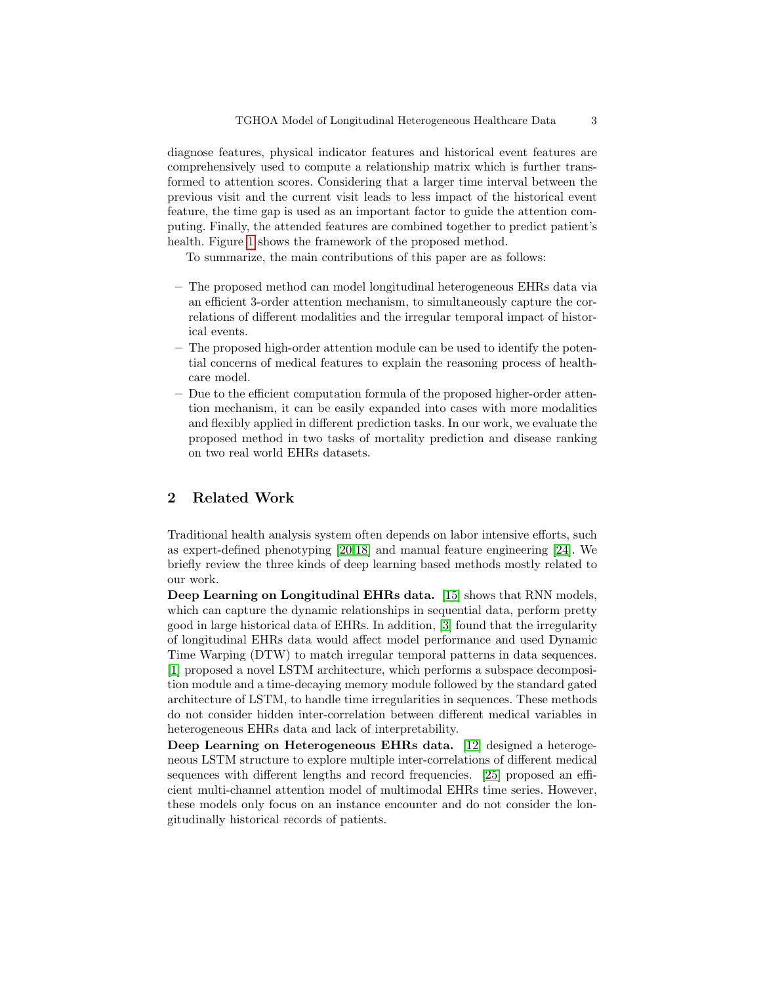diagnose features, physical indicator features and historical event features are comprehensively used to compute a relationship matrix which is further transformed to attention scores. Considering that a larger time interval between the previous visit and the current visit leads to less impact of the historical event feature, the time gap is used as an important factor to guide the attention computing. Finally, the attended features are combined together to predict patient's health. Figure [1](#page-4-0) shows the framework of the proposed method.

To summarize, the main contributions of this paper are as follows:

- The proposed method can model longitudinal heterogeneous EHRs data via an efficient 3-order attention mechanism, to simultaneously capture the correlations of different modalities and the irregular temporal impact of historical events.
- The proposed high-order attention module can be used to identify the potential concerns of medical features to explain the reasoning process of healthcare model.
- Due to the efficient computation formula of the proposed higher-order attention mechanism, it can be easily expanded into cases with more modalities and flexibly applied in different prediction tasks. In our work, we evaluate the proposed method in two tasks of mortality prediction and disease ranking on two real world EHRs datasets.

# 2 Related Work

Traditional health analysis system often depends on labor intensive efforts, such as expert-defined phenotyping [\[20](#page-12-7)[,18\]](#page-12-8) and manual feature engineering [\[24\]](#page-12-9). We briefly review the three kinds of deep learning based methods mostly related to our work.

Deep Learning on Longitudinal EHRs data. [\[15\]](#page-12-10) shows that RNN models, which can capture the dynamic relationships in sequential data, perform pretty good in large historical data of EHRs. In addition, [\[3\]](#page-11-3) found that the irregularity of longitudinal EHRs data would affect model performance and used Dynamic Time Warping (DTW) to match irregular temporal patterns in data sequences. [\[1\]](#page-11-2) proposed a novel LSTM architecture, which performs a subspace decomposition module and a time-decaying memory module followed by the standard gated architecture of LSTM, to handle time irregularities in sequences. These methods do not consider hidden inter-correlation between different medical variables in heterogeneous EHRs data and lack of interpretability.

Deep Learning on Heterogeneous EHRs data. [\[12\]](#page-12-11) designed a heterogeneous LSTM structure to explore multiple inter-correlations of different medical sequences with different lengths and record frequencies. [\[25\]](#page-12-4) proposed an efficient multi-channel attention model of multimodal EHRs time series. However, these models only focus on an instance encounter and do not consider the longitudinally historical records of patients.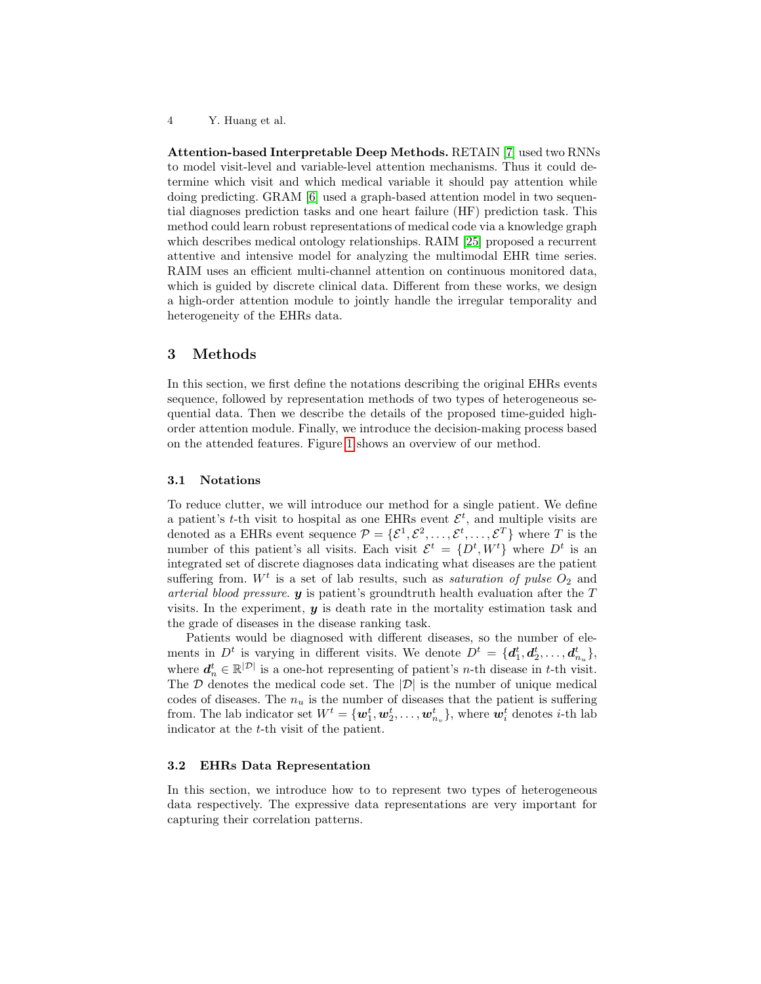Attention-based Interpretable Deep Methods. RETAIN [\[7\]](#page-11-6) used two RNNs to model visit-level and variable-level attention mechanisms. Thus it could determine which visit and which medical variable it should pay attention while doing predicting. GRAM [\[6\]](#page-11-5) used a graph-based attention model in two sequential diagnoses prediction tasks and one heart failure (HF) prediction task. This method could learn robust representations of medical code via a knowledge graph which describes medical ontology relationships. RAIM [\[25\]](#page-12-4) proposed a recurrent attentive and intensive model for analyzing the multimodal EHR time series. RAIM uses an efficient multi-channel attention on continuous monitored data, which is guided by discrete clinical data. Different from these works, we design a high-order attention module to jointly handle the irregular temporality and heterogeneity of the EHRs data.

### <span id="page-3-1"></span>3 Methods

In this section, we first define the notations describing the original EHRs events sequence, followed by representation methods of two types of heterogeneous sequential data. Then we describe the details of the proposed time-guided highorder attention module. Finally, we introduce the decision-making process based on the attended features. Figure [1](#page-4-0) shows an overview of our method.

#### <span id="page-3-0"></span>3.1 Notations

To reduce clutter, we will introduce our method for a single patient. We define a patient's t-th visit to hospital as one EHRs event  $\mathcal{E}^t$ , and multiple visits are denoted as a EHRs event sequence  $\mathcal{P} = \{\mathcal{E}^1, \mathcal{E}^2, \ldots, \mathcal{E}^t, \ldots, \mathcal{E}^T\}$  where T is the number of this patient's all visits. Each visit  $\mathcal{E}^t = \{D^t, W^t\}$  where  $D^t$  is an integrated set of discrete diagnoses data indicating what diseases are the patient suffering from.  $W<sup>t</sup>$  is a set of lab results, such as *saturation of pulse*  $O<sub>2</sub>$  and arterial blood pressure.  $y$  is patient's groundtruth health evaluation after the  $T$ visits. In the experiment,  $y$  is death rate in the mortality estimation task and the grade of diseases in the disease ranking task.

Patients would be diagnosed with different diseases, so the number of elements in  $D^t$  is varying in different visits. We denote  $D^t = \{d_1^t, d_2^t, \ldots, d_{n_u}^t\}$ , where  $\boldsymbol{d}_n^t \in \mathbb{R}^{|\mathcal{D}|}$  is a one-hot representing of patient's *n*-th disease in *t*-th visit. The  $D$  denotes the medical code set. The  $|D|$  is the number of unique medical codes of diseases. The  $n_u$  is the number of diseases that the patient is suffering from. The lab indicator set  $W^t = \{\boldsymbol{w}_1^t, \boldsymbol{w}_2^t, \dots, \boldsymbol{w}_{n_v}^t\}$ , where  $\boldsymbol{w}_i^t$  denotes *i*-th lab indicator at the t-th visit of the patient.

### 3.2 EHRs Data Representation

In this section, we introduce how to to represent two types of heterogeneous data respectively. The expressive data representations are very important for capturing their correlation patterns.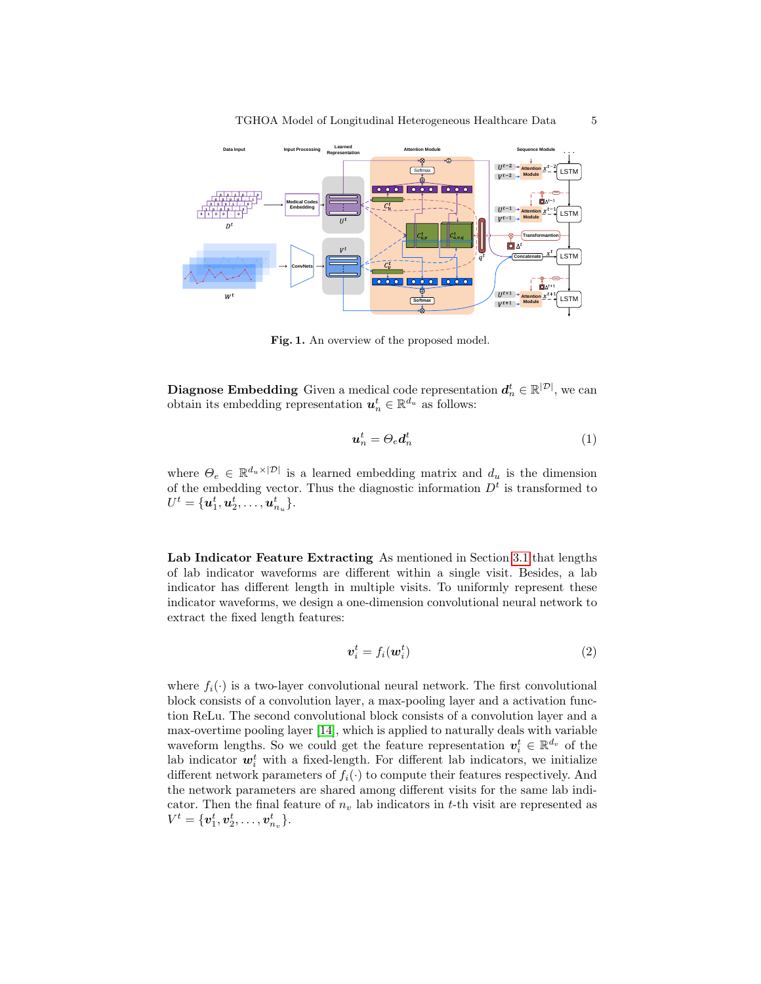

<span id="page-4-0"></span>Fig. 1. An overview of the proposed model.

**Diagnose Embedding** Given a medical code representation  $d_n^t \in \mathbb{R}^{|\mathcal{D}|}$ , we can obtain its embedding representation  $u_n^t \in \mathbb{R}^{d_u}$  as follows:

$$
u_n^t = \Theta_e d_n^t \tag{1}
$$

where  $\Theta_e \in \mathbb{R}^{d_u \times |\mathcal{D}|}$  is a learned embedding matrix and  $d_u$  is the dimension of the embedding vector. Thus the diagnostic information  $D<sup>t</sup>$  is transformed to  $U^t = \{\bm{u}_1^t, \bm{u}_2^t, \dots, \bm{u}_{n_u}^t\}.$ 

Lab Indicator Feature Extracting As mentioned in Section [3.1](#page-3-0) that lengths of lab indicator waveforms are different within a single visit. Besides, a lab indicator has different length in multiple visits. To uniformly represent these indicator waveforms, we design a one-dimension convolutional neural network to extract the fixed length features:

$$
\boldsymbol{v}_i^t = f_i(\boldsymbol{w}_i^t) \tag{2}
$$

where  $f_i(\cdot)$  is a two-layer convolutional neural network. The first convolutional block consists of a convolution layer, a max-pooling layer and a activation function ReLu. The second convolutional block consists of a convolution layer and a max-overtime pooling layer [\[14\]](#page-12-12), which is applied to naturally deals with variable waveform lengths. So we could get the feature representation  $v_i^t \in \mathbb{R}^{d_v}$  of the lab indicator  $w_i^t$  with a fixed-length. For different lab indicators, we initialize different network parameters of  $f_i(\cdot)$  to compute their features respectively. And the network parameters are shared among different visits for the same lab indicator. Then the final feature of  $n_v$  lab indicators in t-th visit are represented as  $V^t = \{ \bm{v}_1^t, \bm{v}_2^t, \dots, \bm{v}_{n_v}^t \}.$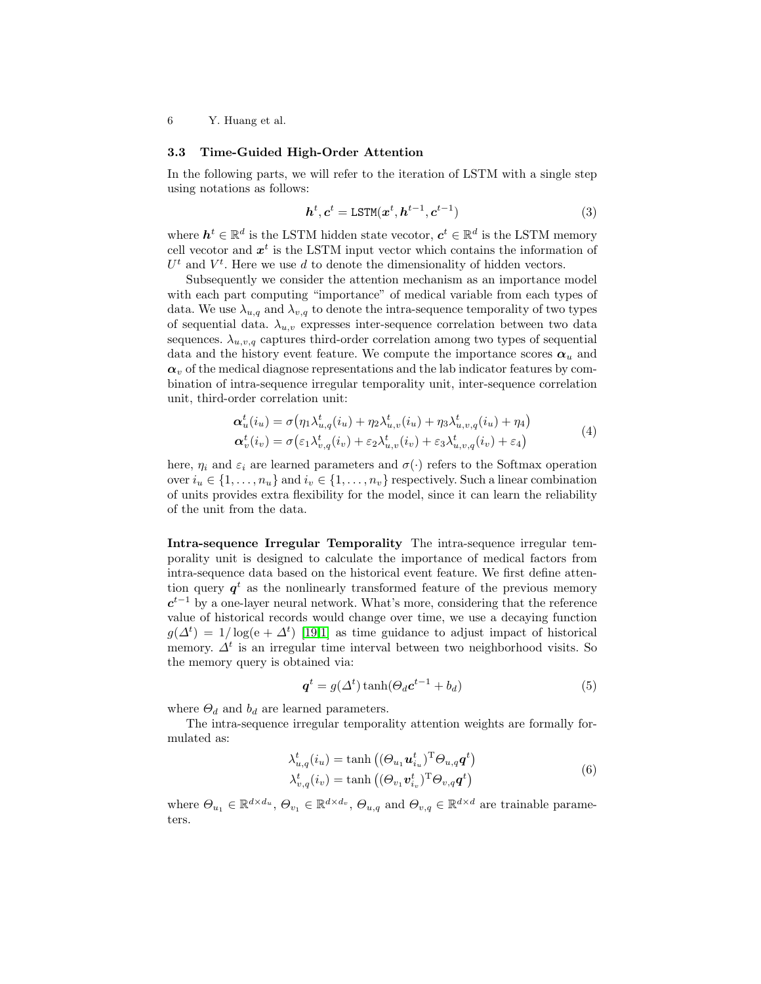### 3.3 Time-Guided High-Order Attention

In the following parts, we will refer to the iteration of LSTM with a single step using notations as follows:

<span id="page-5-0"></span>
$$
\boldsymbol{h}^t, \boldsymbol{c}^t = \text{LSTM}(\boldsymbol{x}^t, \boldsymbol{h}^{t-1}, \boldsymbol{c}^{t-1})
$$
\n(3)

where  $\mathbf{h}^t \in \mathbb{R}^d$  is the LSTM hidden state vecotor,  $\mathbf{c}^t \in \mathbb{R}^d$  is the LSTM memory cell vecotor and  $x^t$  is the LSTM input vector which contains the information of  $U<sup>t</sup>$  and  $V<sup>t</sup>$ . Here we use d to denote the dimensionality of hidden vectors.

Subsequently we consider the attention mechanism as an importance model with each part computing "importance" of medical variable from each types of data. We use  $\lambda_{u,q}$  and  $\lambda_{v,q}$  to denote the intra-sequence temporality of two types of sequential data.  $\lambda_{u,v}$  expresses inter-sequence correlation between two data sequences.  $\lambda_{u,v,q}$  captures third-order correlation among two types of sequential data and the history event feature. We compute the importance scores  $\alpha_u$  and  $\alpha_v$  of the medical diagnose representations and the lab indicator features by combination of intra-sequence irregular temporality unit, inter-sequence correlation unit, third-order correlation unit:

$$
\begin{aligned}\n\alpha_u^t(i_u) &= \sigma(\eta_1 \lambda_{u,q}^t(i_u) + \eta_2 \lambda_{u,v}^t(i_u) + \eta_3 \lambda_{u,v,q}^t(i_u) + \eta_4) \\
\alpha_v^t(i_v) &= \sigma(\varepsilon_1 \lambda_{v,q}^t(i_v) + \varepsilon_2 \lambda_{u,v}^t(i_v) + \varepsilon_3 \lambda_{u,v,q}^t(i_v) + \varepsilon_4)\n\end{aligned} \tag{4}
$$

<span id="page-5-1"></span>here,  $\eta_i$  and  $\varepsilon_i$  are learned parameters and  $\sigma(\cdot)$  refers to the Softmax operation over  $i_u \in \{1, \ldots, n_u\}$  and  $i_v \in \{1, \ldots, n_v\}$  respectively. Such a linear combination of units provides extra flexibility for the model, since it can learn the reliability of the unit from the data.

<span id="page-5-2"></span>Intra-sequence Irregular Temporality The intra-sequence irregular temporality unit is designed to calculate the importance of medical factors from intra-sequence data based on the historical event feature. We first define attention query  $q<sup>t</sup>$  as the nonlinearly transformed feature of the previous memory  $c^{t-1}$  by a one-layer neural network. What's more, considering that the reference value of historical records would change over time, we use a decaying function  $g(\Delta^t) = 1/\log(e + \Delta^t)$  [\[19](#page-12-13)[,1\]](#page-11-2) as time guidance to adjust impact of historical memory.  $\Delta^t$  is an irregular time interval between two neighborhood visits. So the memory query is obtained via:

$$
\boldsymbol{q}^t = g(\Delta^t) \tanh(\Theta_d \boldsymbol{c}^{t-1} + b_d) \tag{5}
$$

where  $\Theta_d$  and  $b_d$  are learned parameters.

The intra-sequence irregular temporality attention weights are formally formulated as:

$$
\lambda_{u,q}^{t}(i_{u}) = \tanh\left((\Theta_{u_{1}}\boldsymbol{u}_{i_{u}}^{t})^{\mathrm{T}}\Theta_{u,q}\boldsymbol{q}^{t}\right)
$$
  

$$
\lambda_{v,q}^{t}(i_{v}) = \tanh\left((\Theta_{v_{1}}\boldsymbol{v}_{i_{v}}^{t})^{\mathrm{T}}\Theta_{v,q}\boldsymbol{q}^{t}\right)
$$
(6)

where  $\Theta_{u_1} \in \mathbb{R}^{d \times d_u}$ ,  $\Theta_{v_1} \in \mathbb{R}^{d \times d_v}$ ,  $\Theta_{u,q}$  and  $\Theta_{v,q} \in \mathbb{R}^{d \times d}$  are trainable parameters.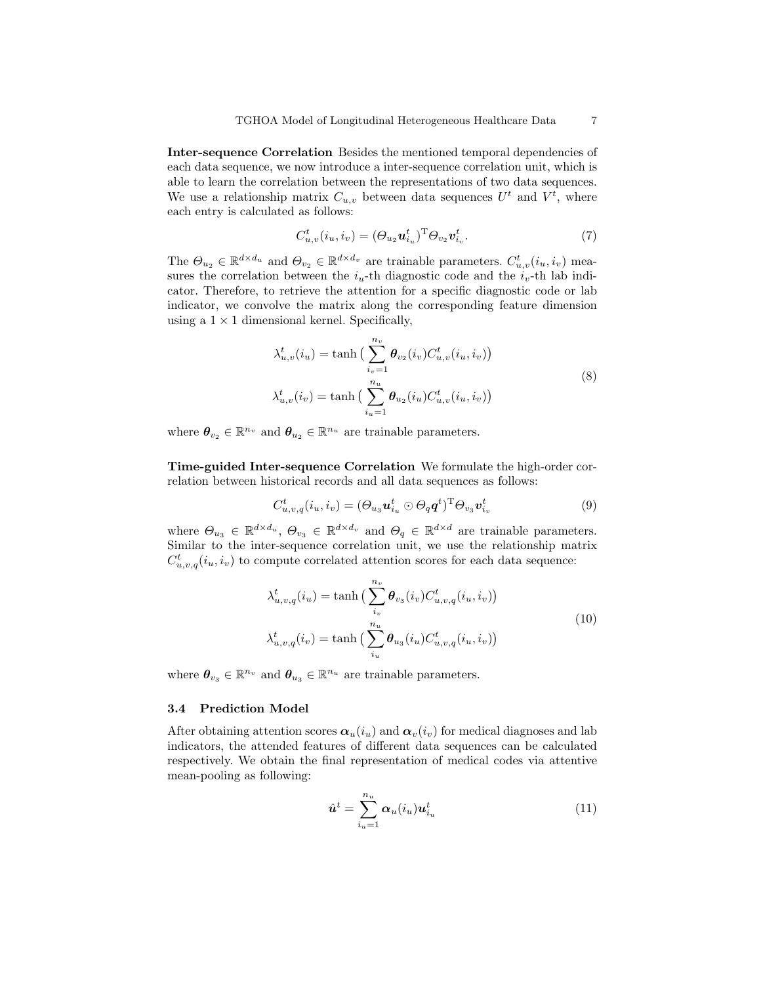Inter-sequence Correlation Besides the mentioned temporal dependencies of each data sequence, we now introduce a inter-sequence correlation unit, which is able to learn the correlation between the representations of two data sequences. We use a relationship matrix  $C_{u,v}$  between data sequences  $U^t$  and  $V^t$ , where each entry is calculated as follows:

$$
C_{u,v}^t(i_u,i_v) = (\Theta_{u_2} \mathbf{u}_{i_u}^t)^{\mathrm{T}} \Theta_{v_2} \mathbf{v}_{i_v}^t. \tag{7}
$$

The  $\Theta_{u_2} \in \mathbb{R}^{d \times d_u}$  and  $\Theta_{v_2} \in \mathbb{R}^{d \times d_v}$  are trainable parameters.  $C^t_{u,v}(i_u,i_v)$  measures the correlation between the  $i<sub>u</sub>$ -th diagnostic code and the  $i<sub>v</sub>$ -th lab indicator. Therefore, to retrieve the attention for a specific diagnostic code or lab indicator, we convolve the matrix along the corresponding feature dimension using a  $1 \times 1$  dimensional kernel. Specifically,

$$
\lambda_{u,v}^t(i_u) = \tanh\left(\sum_{i_v=1}^{n_v} \theta_{v_2}(i_v) C_{u,v}^t(i_u, i_v)\right)
$$
  

$$
\lambda_{u,v}^t(i_v) = \tanh\left(\sum_{i_u=1}^{n_u} \theta_{u_2}(i_u) C_{u,v}^t(i_u, i_v)\right)
$$
 (8)

where  $\theta_{v_2} \in \mathbb{R}^{n_v}$  and  $\theta_{u_2} \in \mathbb{R}^{n_u}$  are trainable parameters.

Time-guided Inter-sequence Correlation We formulate the high-order correlation between historical records and all data sequences as follows:

$$
C_{u,v,q}^t(i_u,i_v) = (\Theta_{u_3} \boldsymbol{u}_{i_u}^t \odot \Theta_q \boldsymbol{q}^t)^{\mathrm{T}} \Theta_{v_3} \boldsymbol{v}_{i_v}^t
$$
\n
$$
(9)
$$

where  $\Theta_{u_3} \in \mathbb{R}^{d \times d_u}$ ,  $\Theta_{v_3} \in \mathbb{R}^{d \times d_v}$  and  $\Theta_q \in \mathbb{R}^{d \times d}$  are trainable parameters. Similar to the inter-sequence correlation unit, we use the relationship matrix  $C_{u,v,q}^t(i_u,i_v)$  to compute correlated attention scores for each data sequence:

$$
\lambda_{u,v,q}^{t}(i_{u}) = \tanh\left(\sum_{i_{v}}^{n_{v}} \theta_{v_{3}}(i_{v}) C_{u,v,q}^{t}(i_{u}, i_{v})\right)
$$

$$
\lambda_{u,v,q}^{t}(i_{v}) = \tanh\left(\sum_{i_{u}}^{n_{u}} \theta_{u_{3}}(i_{u}) C_{u,v,q}^{t}(i_{u}, i_{v})\right)
$$
(10)

where  $\theta_{v_3} \in \mathbb{R}^{n_v}$  and  $\theta_{u_3} \in \mathbb{R}^{n_u}$  are trainable parameters.

### 3.4 Prediction Model

After obtaining attention scores  $\alpha_u(i_u)$  and  $\alpha_v(i_v)$  for medical diagnoses and lab indicators, the attended features of different data sequences can be calculated respectively. We obtain the final representation of medical codes via attentive mean-pooling as following:

$$
\hat{\boldsymbol{u}}^t = \sum_{i_u=1}^{n_u} \alpha_u(i_u) \boldsymbol{u}_{i_u}^t \tag{11}
$$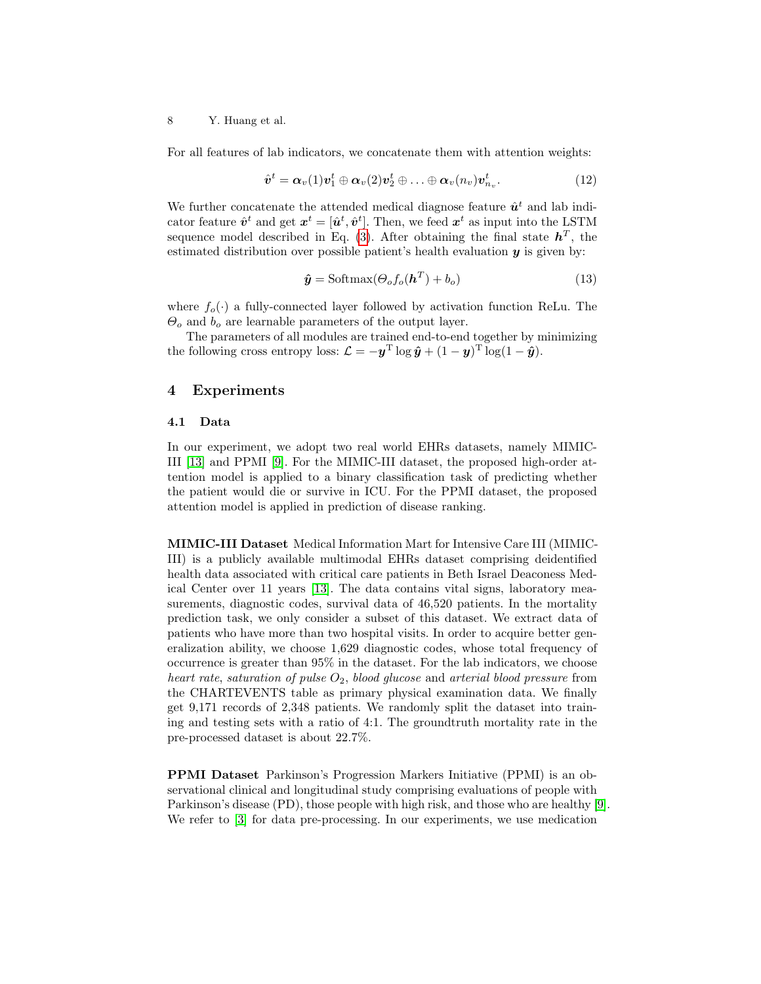For all features of lab indicators, we concatenate them with attention weights:

$$
\hat{\boldsymbol{v}}^t = \boldsymbol{\alpha}_v(1)\boldsymbol{v}_1^t \oplus \boldsymbol{\alpha}_v(2)\boldsymbol{v}_2^t \oplus \ldots \oplus \boldsymbol{\alpha}_v(n_v)\boldsymbol{v}_{n_v}^t.
$$
\n(12)

We further concatenate the attended medical diagnose feature  $\hat{u}^t$  and lab indicator feature  $\hat{\mathbf{v}}^t$  and get  $\mathbf{x}^t = [\hat{\mathbf{u}}^t, \hat{\mathbf{v}}^t]$ . Then, we feed  $\mathbf{x}^t$  as input into the LSTM sequence model described in Eq. [\(3\)](#page-5-0). After obtaining the final state  $h^T$ , the estimated distribution over possible patient's health evaluation  $y$  is given by:

$$
\hat{\mathbf{y}} = \text{Softmax}(\Theta_o f_o(\mathbf{h}^T) + b_o) \tag{13}
$$

where  $f_o(\cdot)$  a fully-connected layer followed by activation function ReLu. The  $\Theta_o$  and  $b_o$  are learnable parameters of the output layer.

The parameters of all modules are trained end-to-end together by minimizing the following cross entropy loss:  $\mathcal{L} = -\mathbf{y}^{\mathrm{T}} \log \hat{\mathbf{y}} + (1 - \mathbf{y})^{\mathrm{T}} \log(1 - \hat{\mathbf{y}}).$ 

### 4 Experiments

#### 4.1 Data

In our experiment, we adopt two real world EHRs datasets, namely MIMIC-III [\[13\]](#page-12-14) and PPMI [\[9\]](#page-12-15). For the MIMIC-III dataset, the proposed high-order attention model is applied to a binary classification task of predicting whether the patient would die or survive in ICU. For the PPMI dataset, the proposed attention model is applied in prediction of disease ranking.

MIMIC-III Dataset Medical Information Mart for Intensive Care III (MIMIC-III) is a publicly available multimodal EHRs dataset comprising deidentified health data associated with critical care patients in Beth Israel Deaconess Medical Center over 11 years [\[13\]](#page-12-14). The data contains vital signs, laboratory measurements, diagnostic codes, survival data of 46,520 patients. In the mortality prediction task, we only consider a subset of this dataset. We extract data of patients who have more than two hospital visits. In order to acquire better generalization ability, we choose 1,629 diagnostic codes, whose total frequency of occurrence is greater than 95% in the dataset. For the lab indicators, we choose heart rate, saturation of pulse  $O_2$ , blood glucose and arterial blood pressure from the CHARTEVENTS table as primary physical examination data. We finally get 9,171 records of 2,348 patients. We randomly split the dataset into training and testing sets with a ratio of 4:1. The groundtruth mortality rate in the pre-processed dataset is about 22.7%.

PPMI Dataset Parkinson's Progression Markers Initiative (PPMI) is an observational clinical and longitudinal study comprising evaluations of people with Parkinson's disease (PD), those people with high risk, and those who are healthy [\[9\]](#page-12-15). We refer to [\[3\]](#page-11-3) for data pre-processing. In our experiments, we use medication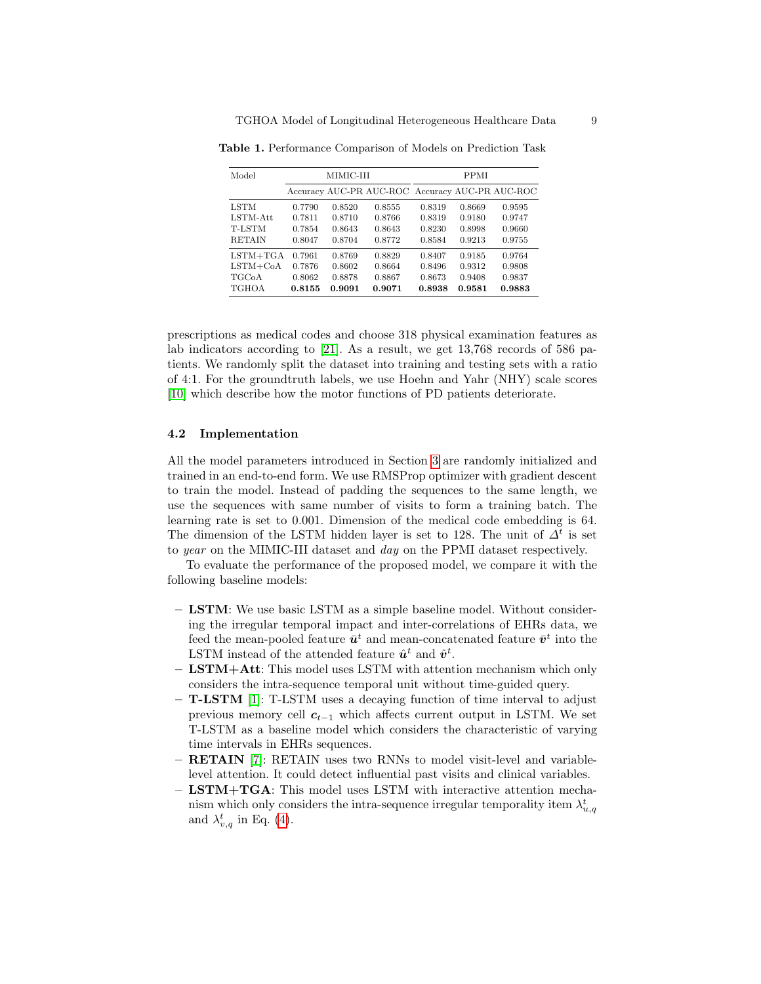<span id="page-8-0"></span>

| Model         | MIMIC-III |        |                                                 | <b>PPMI</b> |        |        |
|---------------|-----------|--------|-------------------------------------------------|-------------|--------|--------|
|               |           |        | Accuracy AUC-PR AUC-ROC Accuracy AUC-PR AUC-ROC |             |        |        |
| LSTM          | 0.7790    | 0.8520 | 0.8555                                          | 0.8319      | 0.8669 | 0.9595 |
| LSTM-Att      | 0.7811    | 0.8710 | 0.8766                                          | 0.8319      | 0.9180 | 0.9747 |
| T-LSTM        | 0.7854    | 0.8643 | 0.8643                                          | 0.8230      | 0.8998 | 0.9660 |
| <b>RETAIN</b> | 0.8047    | 0.8704 | 0.8772                                          | 0.8584      | 0.9213 | 0.9755 |
| $LSTM+TGA$    | 0.7961    | 0.8769 | 0.8829                                          | 0.8407      | 0.9185 | 0.9764 |
| $LSTM + CoA$  | 0.7876    | 0.8602 | 0.8664                                          | 0.8496      | 0.9312 | 0.9808 |
| TGCoA         | 0.8062    | 0.8878 | 0.8867                                          | 0.8673      | 0.9408 | 0.9837 |
| <b>TGHOA</b>  | 0.8155    | 0.9091 | 0.9071                                          | 0.8938      | 0.9581 | 0.9883 |

Table 1. Performance Comparison of Models on Prediction Task

prescriptions as medical codes and choose 318 physical examination features as lab indicators according to [\[21\]](#page-12-16). As a result, we get 13,768 records of 586 patients. We randomly split the dataset into training and testing sets with a ratio of 4:1. For the groundtruth labels, we use Hoehn and Yahr (NHY) scale scores [\[10\]](#page-12-17) which describe how the motor functions of PD patients deteriorate.

#### 4.2 Implementation

All the model parameters introduced in Section [3](#page-3-1) are randomly initialized and trained in an end-to-end form. We use RMSProp optimizer with gradient descent to train the model. Instead of padding the sequences to the same length, we use the sequences with same number of visits to form a training batch. The learning rate is set to 0.001. Dimension of the medical code embedding is 64. The dimension of the LSTM hidden layer is set to 128. The unit of  $\Delta^t$  is set to year on the MIMIC-III dataset and day on the PPMI dataset respectively.

To evaluate the performance of the proposed model, we compare it with the following baseline models:

- LSTM: We use basic LSTM as a simple baseline model. Without considering the irregular temporal impact and inter-correlations of EHRs data, we feed the mean-pooled feature  $\bar{u}^t$  and mean-concatenated feature  $\bar{v}^t$  into the LSTM instead of the attended feature  $\hat{u}^t$  and  $\hat{v}^t$ .
- $-$  LSTM+Att: This model uses LSTM with attention mechanism which only considers the intra-sequence temporal unit without time-guided query.
- T-LSTM [\[1\]](#page-11-2): T-LSTM uses a decaying function of time interval to adjust previous memory cell  $c_{t-1}$  which affects current output in LSTM. We set T-LSTM as a baseline model which considers the characteristic of varying time intervals in EHRs sequences.
- RETAIN [\[7\]](#page-11-6): RETAIN uses two RNNs to model visit-level and variablelevel attention. It could detect influential past visits and clinical variables.
- $-$  LSTM+TGA: This model uses LSTM with interactive attention mechanism which only considers the intra-sequence irregular temporality item  $\lambda_{u,q}^t$ and  $\lambda_{v,q}^{t}$  in Eq. [\(4\)](#page-5-1).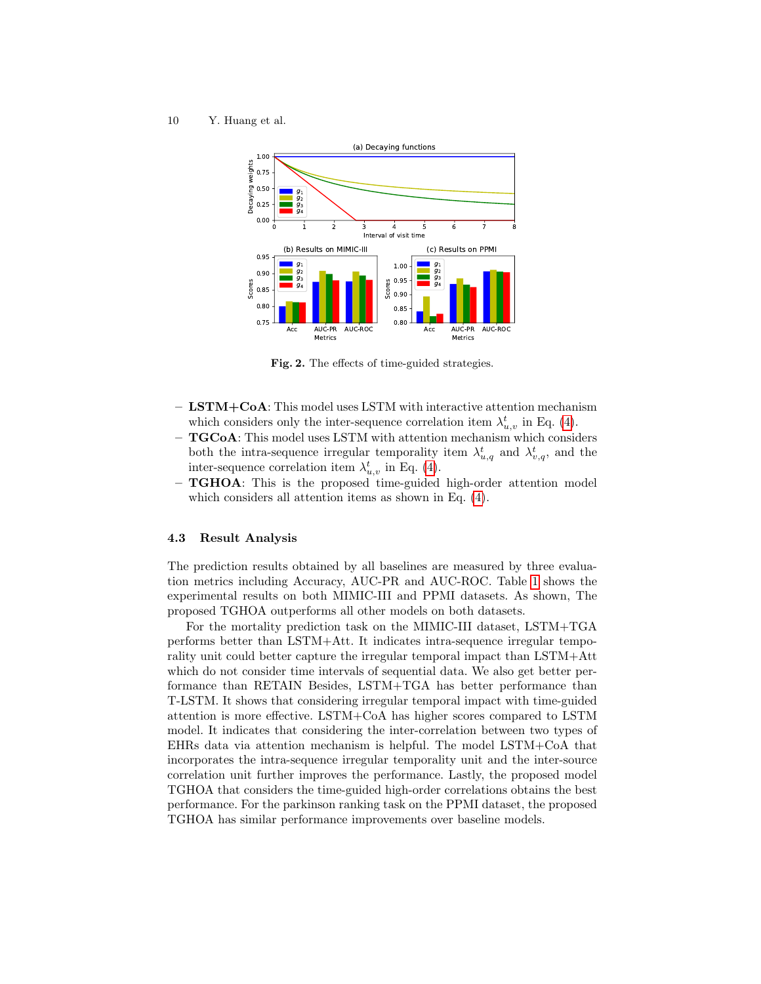

<span id="page-9-0"></span>Fig. 2. The effects of time-guided strategies.

- LSTM+CoA: This model uses LSTM with interactive attention mechanism which considers only the inter-sequence correlation item  $\lambda_{u,v}^t$  in Eq. [\(4\)](#page-5-1).
- $-$  TGCoA: This model uses LSTM with attention mechanism which considers both the intra-sequence irregular temporality item  $\lambda_{u,q}^t$  and  $\lambda_{v,q}^t$ , and the inter-sequence correlation item  $\lambda_{u,v}^t$  in Eq. [\(4\)](#page-5-1).
- TGHOA: This is the proposed time-guided high-order attention model which considers all attention items as shown in Eq. [\(4\)](#page-5-1).

### 4.3 Result Analysis

The prediction results obtained by all baselines are measured by three evaluation metrics including Accuracy, AUC-PR and AUC-ROC. Table [1](#page-8-0) shows the experimental results on both MIMIC-III and PPMI datasets. As shown, The proposed TGHOA outperforms all other models on both datasets.

For the mortality prediction task on the MIMIC-III dataset, LSTM+TGA performs better than LSTM+Att. It indicates intra-sequence irregular temporality unit could better capture the irregular temporal impact than LSTM+Att which do not consider time intervals of sequential data. We also get better performance than RETAIN Besides, LSTM+TGA has better performance than T-LSTM. It shows that considering irregular temporal impact with time-guided attention is more effective. LSTM+CoA has higher scores compared to LSTM model. It indicates that considering the inter-correlation between two types of EHRs data via attention mechanism is helpful. The model LSTM+CoA that incorporates the intra-sequence irregular temporality unit and the inter-source correlation unit further improves the performance. Lastly, the proposed model TGHOA that considers the time-guided high-order correlations obtains the best performance. For the parkinson ranking task on the PPMI dataset, the proposed TGHOA has similar performance improvements over baseline models.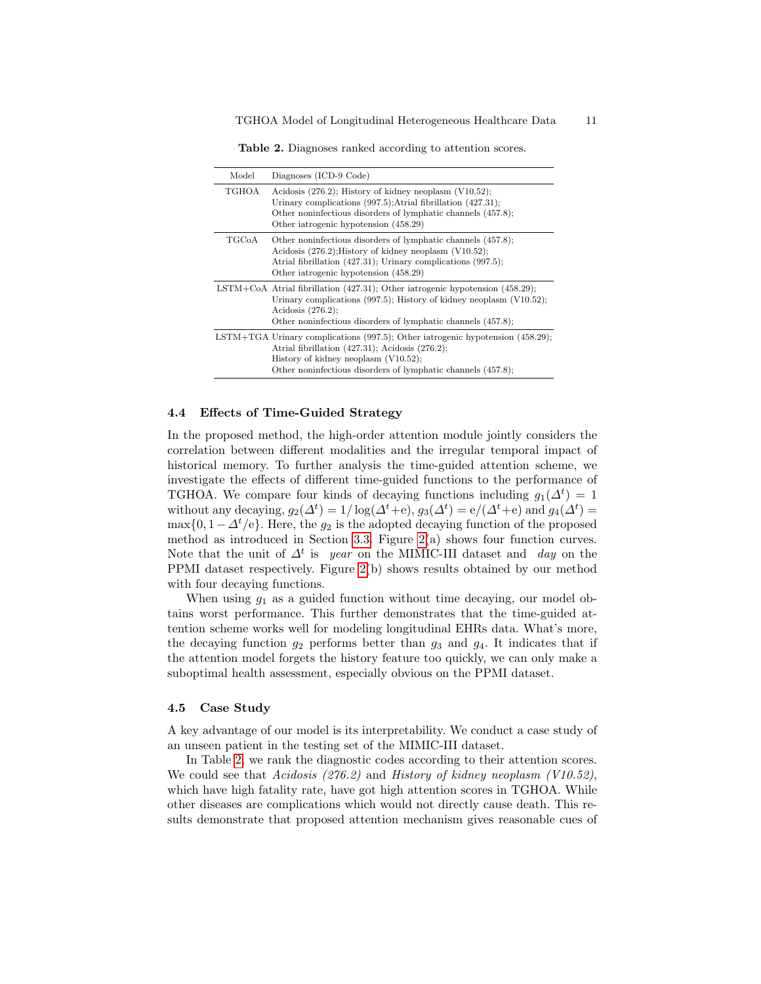<span id="page-10-0"></span>Table 2. Diagnoses ranked according to attention scores.

| Model               | Diagnoses (ICD-9 Code)                                                                                                                                                                                                                                   |
|---------------------|----------------------------------------------------------------------------------------------------------------------------------------------------------------------------------------------------------------------------------------------------------|
| TGHOA               | Acidosis $(276.2)$ ; History of kidney neoplasm $(V10.52)$ ;<br>Urinary complications $(997.5)$ ; Atrial fibrillation $(427.31)$ ;<br>Other noninfectious disorders of lymphatic channels (457.8);<br>Other iatrogenic hypotension (458.29)              |
| $_{\mathrm{TGCoA}}$ | Other noninfectious disorders of lymphatic channels (457.8);<br>Acidosis $(276.2)$ ; History of kidney neoplasm $(V10.52)$ ;<br>Atrial fibrillation (427.31); Urinary complications (997.5);<br>Other iatrogenic hypotension (458.29)                    |
|                     | LSTM+CoA Atrial fibrillation $(427.31)$ ; Other iatrogenic hypotension $(458.29)$ ;<br>Urinary complications $(997.5)$ ; History of kidney neoplasm $(V10.52)$ ;<br>Acidosis $(276.2)$ ;<br>Other noninfectious disorders of lymphatic channels (457.8); |
|                     | LSTM+TGA Urinary complications (997.5); Other iatrogenic hypotension (458.29);<br>Atrial fibrillation $(427.31)$ ; Acidosis $(276.2)$ ;<br>History of kidney neoplasm $(V10.52)$ ;<br>Other noninfectious disorders of lymphatic channels (457.8);       |

### 4.4 Effects of Time-Guided Strategy

In the proposed method, the high-order attention module jointly considers the correlation between different modalities and the irregular temporal impact of historical memory. To further analysis the time-guided attention scheme, we investigate the effects of different time-guided functions to the performance of TGHOA. We compare four kinds of decaying functions including  $g_1(\Delta^t) = 1$ without any decaying,  $g_2(\Delta^t) = 1/\log(\Delta^t + e)$ ,  $g_3(\Delta^t) = e/(\Delta^t + e)$  and  $g_4(\Delta^t) =$ max $\{0, 1-\Delta^t/e\}$ . Here, the  $g_2$  is the adopted decaying function of the proposed method as introduced in Section [3.3.](#page-5-2) Figure  $2(a)$  shows four function curves. Note that the unit of  $\Delta^t$  is year on the MIMIC-III dataset and day on the PPMI dataset respectively. Figure [2\(](#page-9-0)b) shows results obtained by our method with four decaying functions.

When using  $g_1$  as a guided function without time decaying, our model obtains worst performance. This further demonstrates that the time-guided attention scheme works well for modeling longitudinal EHRs data. What's more, the decaying function  $g_2$  performs better than  $g_3$  and  $g_4$ . It indicates that if the attention model forgets the history feature too quickly, we can only make a suboptimal health assessment, especially obvious on the PPMI dataset.

#### 4.5 Case Study

A key advantage of our model is its interpretability. We conduct a case study of an unseen patient in the testing set of the MIMIC-III dataset.

In Table [2,](#page-10-0) we rank the diagnostic codes according to their attention scores. We could see that Acidosis (276.2) and History of kidney neoplasm (V10.52), which have high fatality rate, have got high attention scores in TGHOA. While other diseases are complications which would not directly cause death. This results demonstrate that proposed attention mechanism gives reasonable cues of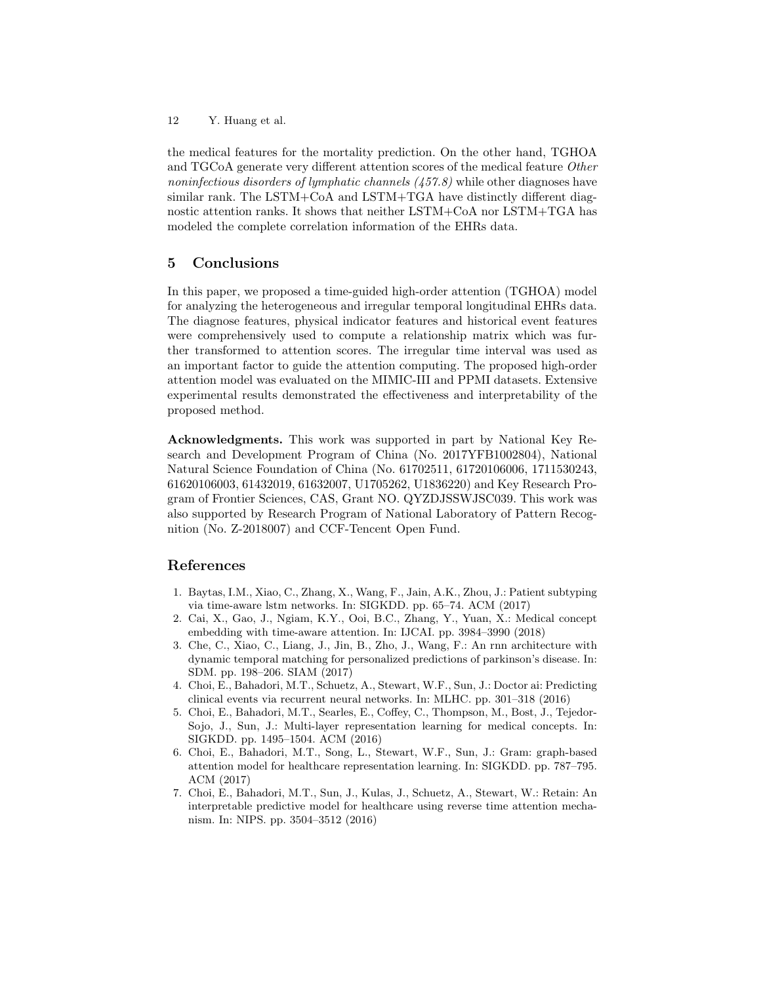the medical features for the mortality prediction. On the other hand, TGHOA and TGCoA generate very different attention scores of the medical feature Other noninfectious disorders of lymphatic channels (457.8) while other diagnoses have similar rank. The LSTM+CoA and LSTM+TGA have distinctly different diagnostic attention ranks. It shows that neither LSTM+CoA nor LSTM+TGA has modeled the complete correlation information of the EHRs data.

## 5 Conclusions

In this paper, we proposed a time-guided high-order attention (TGHOA) model for analyzing the heterogeneous and irregular temporal longitudinal EHRs data. The diagnose features, physical indicator features and historical event features were comprehensively used to compute a relationship matrix which was further transformed to attention scores. The irregular time interval was used as an important factor to guide the attention computing. The proposed high-order attention model was evaluated on the MIMIC-III and PPMI datasets. Extensive experimental results demonstrated the effectiveness and interpretability of the proposed method.

Acknowledgments. This work was supported in part by National Key Research and Development Program of China (No. 2017YFB1002804), National Natural Science Foundation of China (No. 61702511, 61720106006, 1711530243, 61620106003, 61432019, 61632007, U1705262, U1836220) and Key Research Program of Frontier Sciences, CAS, Grant NO. QYZDJSSWJSC039. This work was also supported by Research Program of National Laboratory of Pattern Recognition (No. Z-2018007) and CCF-Tencent Open Fund.

### References

- <span id="page-11-2"></span>1. Baytas, I.M., Xiao, C., Zhang, X., Wang, F., Jain, A.K., Zhou, J.: Patient subtyping via time-aware lstm networks. In: SIGKDD. pp. 65–74. ACM (2017)
- <span id="page-11-1"></span>2. Cai, X., Gao, J., Ngiam, K.Y., Ooi, B.C., Zhang, Y., Yuan, X.: Medical concept embedding with time-aware attention. In: IJCAI. pp. 3984–3990 (2018)
- <span id="page-11-3"></span>3. Che, C., Xiao, C., Liang, J., Jin, B., Zho, J., Wang, F.: An rnn architecture with dynamic temporal matching for personalized predictions of parkinson's disease. In: SDM. pp. 198–206. SIAM (2017)
- <span id="page-11-4"></span>4. Choi, E., Bahadori, M.T., Schuetz, A., Stewart, W.F., Sun, J.: Doctor ai: Predicting clinical events via recurrent neural networks. In: MLHC. pp. 301–318 (2016)
- <span id="page-11-0"></span>5. Choi, E., Bahadori, M.T., Searles, E., Coffey, C., Thompson, M., Bost, J., Tejedor-Sojo, J., Sun, J.: Multi-layer representation learning for medical concepts. In: SIGKDD. pp. 1495–1504. ACM (2016)
- <span id="page-11-5"></span>6. Choi, E., Bahadori, M.T., Song, L., Stewart, W.F., Sun, J.: Gram: graph-based attention model for healthcare representation learning. In: SIGKDD. pp. 787–795. ACM (2017)
- <span id="page-11-6"></span>7. Choi, E., Bahadori, M.T., Sun, J., Kulas, J., Schuetz, A., Stewart, W.: Retain: An interpretable predictive model for healthcare using reverse time attention mechanism. In: NIPS. pp. 3504–3512 (2016)